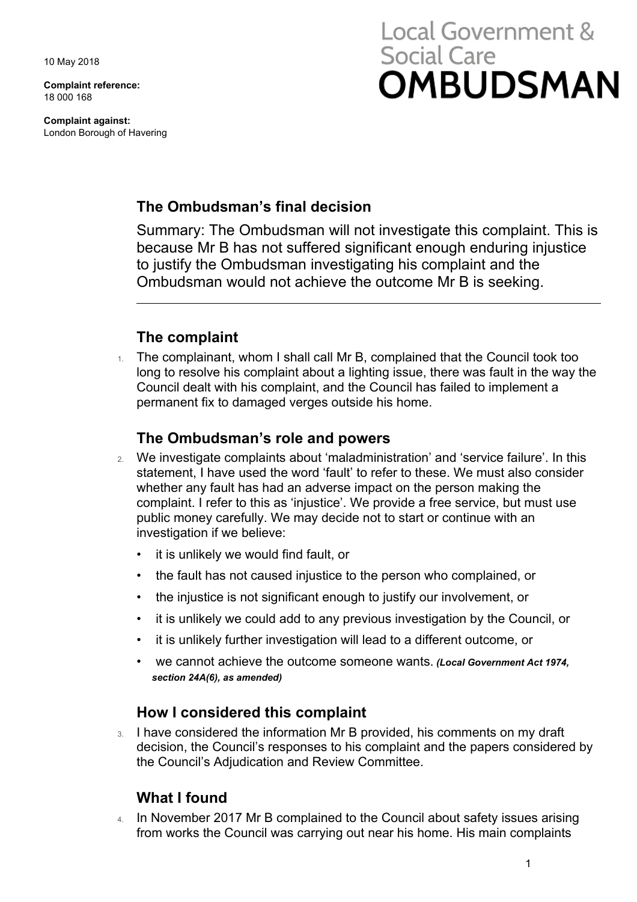10 May 2018

**Complaint reference:**  18 000 168

**Complaint against:**  London Borough of Havering

# Local Government & **Social Care OMBUDSMAN**

## **The Ombudsman's final decision**

 to justify the Ombudsman investigating his complaint and the Summary: The Ombudsman will not investigate this complaint. This is because Mr B has not suffered significant enough enduring injustice Ombudsman would not achieve the outcome Mr B is seeking.

## **The complaint**

1. The complainant, whom I shall call Mr B, complained that the Council took too long to resolve his complaint about a lighting issue, there was fault in the way the Council dealt with his complaint, and the Council has failed to implement a permanent fix to damaged verges outside his home.

#### **The Ombudsman's role and powers**

- 2. We investigate complaints about 'maladministration' and 'service failure'. In this statement, I have used the word 'fault' to refer to these. We must also consider whether any fault has had an adverse impact on the person making the complaint. I refer to this as 'injustice'. We provide a free service, but must use public money carefully. We may decide not to start or continue with an investigation if we believe:
	- it is unlikely we would find fault, or
	- the fault has not caused injustice to the person who complained, or
	- the injustice is not significant enough to justify our involvement, or
	- it is unlikely we could add to any previous investigation by the Council, or
	- it is unlikely further investigation will lead to a different outcome, or
	- we cannot achieve the outcome someone wants. *(Local Government Act 1974, section 24A(6), as amended)*

## **How I considered this complaint**

 decision, the Council's responses to his complaint and the papers considered by 3. I have considered the information Mr B provided, his comments on my draft the Council's Adjudication and Review Committee.

## **What I found**

4. In November 2017 Mr B complained to the Council about safety issues arising from works the Council was carrying out near his home. His main complaints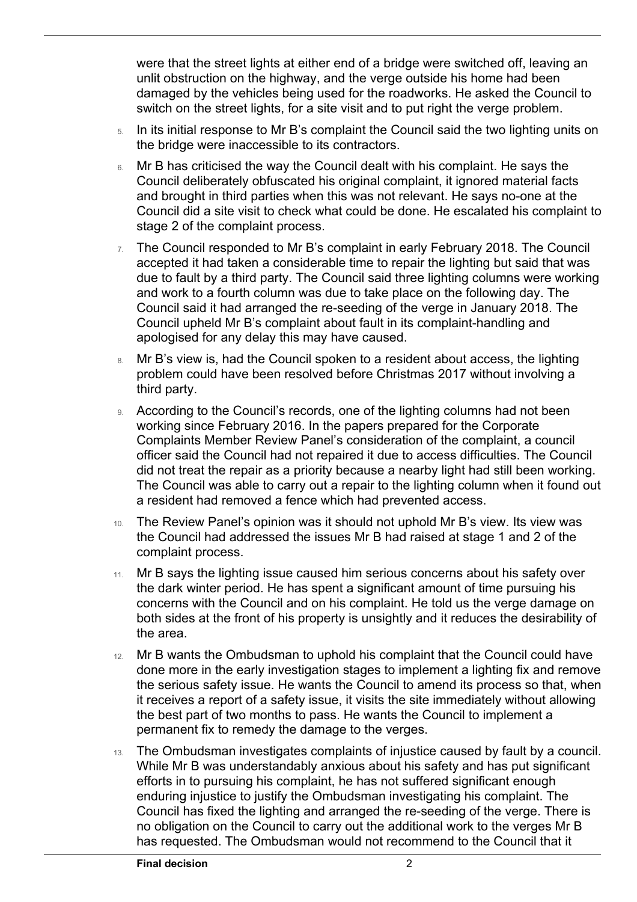switch on the street lights, for a site visit and to put right the verge problem. were that the street lights at either end of a bridge were switched off, leaving an unlit obstruction on the highway, and the verge outside his home had been damaged by the vehicles being used for the roadworks. He asked the Council to

- 5. In its initial response to Mr B's complaint the Council said the two lighting units on the bridge were inaccessible to its contractors.
- Council deliberately obfuscated his original complaint, it ignored material facts 6. Mr B has criticised the way the Council dealt with his complaint. He says the and brought in third parties when this was not relevant. He says no-one at the Council did a site visit to check what could be done. He escalated his complaint to stage 2 of the complaint process.
- $7.$  The Council responded to Mr B's complaint in early February 2018. The Council accepted it had taken a considerable time to repair the lighting but said that was due to fault by a third party. The Council said three lighting columns were working and work to a fourth column was due to take place on the following day. The Council said it had arranged the re-seeding of the verge in January 2018. The Council upheld Mr B's complaint about fault in its complaint-handling and apologised for any delay this may have caused.
- 8. Mr B's view is, had the Council spoken to a resident about access, the lighting problem could have been resolved before Christmas 2017 without involving a third party.
- working since February 2016. In the papers prepared for the Corporate officer said the Council had not repaired it due to access difficulties. The Council The Council was able to carry out a repair to the lighting column when it found out According to the Council's records, one of the lighting columns had not been Complaints Member Review Panel's consideration of the complaint, a council did not treat the repair as a priority because a nearby light had still been working. a resident had removed a fence which had prevented access.
- 10. The Review Panel's opinion was it should not uphold Mr B's view. Its view was the Council had addressed the issues Mr B had raised at stage 1 and 2 of the complaint process.
- 11. Mr B says the lighting issue caused him serious concerns about his safety over the dark winter period. He has spent a significant amount of time pursuing his concerns with the Council and on his complaint. He told us the verge damage on both sides at the front of his property is unsightly and it reduces the desirability of the area.
- done more in the early investigation stages to implement a lighting fix and remove 12. Mr B wants the Ombudsman to uphold his complaint that the Council could have the serious safety issue. He wants the Council to amend its process so that, when it receives a report of a safety issue, it visits the site immediately without allowing the best part of two months to pass. He wants the Council to implement a permanent fix to remedy the damage to the verges.
- enduring injustice to justify the Ombudsman investigating his complaint. The no obligation on the Council to carry out the additional work to the verges Mr B 13. The Ombudsman investigates complaints of injustice caused by fault by a council. While Mr B was understandably anxious about his safety and has put significant efforts in to pursuing his complaint, he has not suffered significant enough Council has fixed the lighting and arranged the re-seeding of the verge. There is has requested. The Ombudsman would not recommend to the Council that it

 $\overline{a}$